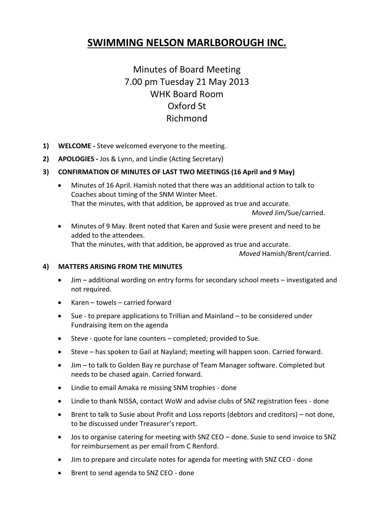# **SWIMMING NELSON MARLBOROUGH INC.**

# Minutes of Board Meeting 7.00 pm Tuesday 21 May 2013 WHK Board Room Oxford St Richmond

- **1) WELCOME -** Steve welcomed everyone to the meeting.
- **2) APOLOGIES -** Jos & Lynn, and Lindie (Acting Secretary)

# **3) CONFIRMATION OF MINUTES OF LAST TWO MEETINGS (16 April and 9 May)**

 Minutes of 16 April. Hamish noted that there was an additional action to talk to Coaches about timing of the SNM Winter Meet. That the minutes, with that addition, be approved as true and accurate.

 *Moved* Jim/Sue/carried.

 Minutes of 9 May. Brent noted that Karen and Susie were present and need to be added to the attendees. That the minutes, with that addition, be approved as true and accurate.

*Moved* Hamish/Brent/carried.

## **4) MATTERS ARISING FROM THE MINUTES**

- Jim additional wording on entry forms for secondary school meets investigated and not required.
- Karen towels carried forward
- Sue to prepare applications to Trillian and Mainland to be considered under Fundraising item on the agenda
- Steve quote for lane counters completed; provided to Sue.
- Steve has spoken to Gail at Nayland; meeting will happen soon. Carried forward.
- Jim to talk to Golden Bay re purchase of Team Manager software. Completed but needs to be chased again. Carried forward.
- Lindie to email Amaka re missing SNM trophies done
- Lindie to thank NISSA, contact WoW and advise clubs of SNZ registration fees done
- Brent to talk to Susie about Profit and Loss reports (debtors and creditors) not done, to be discussed under Treasurer's report.
- Jos to organise catering for meeting with SNZ CEO done. Susie to send invoice to SNZ for reimbursement as per email from C Renford.
- Jim to prepare and circulate notes for agenda for meeting with SNZ CEO done
- Brent to send agenda to SNZ CEO done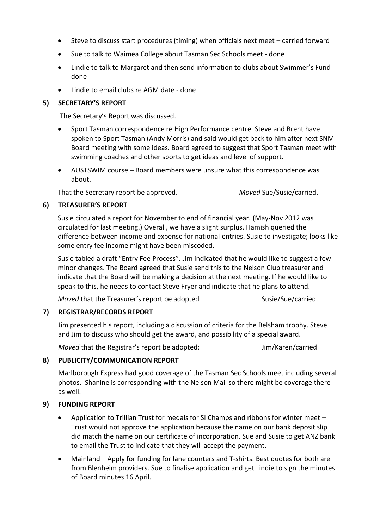- Steve to discuss start procedures (timing) when officials next meet carried forward
- Sue to talk to Waimea College about Tasman Sec Schools meet done
- Lindie to talk to Margaret and then send information to clubs about Swimmer's Fund done
- Lindie to email clubs re AGM date done

## **5) SECRETARY'S REPORT**

The Secretary's Report was discussed.

- Sport Tasman correspondence re High Performance centre. Steve and Brent have spoken to Sport Tasman (Andy Morris) and said would get back to him after next SNM Board meeting with some ideas. Board agreed to suggest that Sport Tasman meet with swimming coaches and other sports to get ideas and level of support.
- AUSTSWIM course Board members were unsure what this correspondence was about.

That the Secretary report be approved. *Moved* Sue/Susie/carried.

## **6) TREASURER'S REPORT**

Susie circulated a report for November to end of financial year. (May-Nov 2012 was circulated for last meeting.) Overall, we have a slight surplus. Hamish queried the difference between income and expense for national entries. Susie to investigate; looks like some entry fee income might have been miscoded.

Susie tabled a draft "Entry Fee Process". Jim indicated that he would like to suggest a few minor changes. The Board agreed that Susie send this to the Nelson Club treasurer and indicate that the Board will be making a decision at the next meeting. If he would like to speak to this, he needs to contact Steve Fryer and indicate that he plans to attend.

*Moved* that the Treasurer's report be adopted Susie/Sue/Carried.

## **7) REGISTRAR/RECORDS REPORT**

Jim presented his report, including a discussion of criteria for the Belsham trophy. Steve and Jim to discuss who should get the award, and possibility of a special award.

*Moved* that the Registrar's report be adopted: Jim/Karen/carried

## **8) PUBLICITY/COMMUNICATION REPORT**

Marlborough Express had good coverage of the Tasman Sec Schools meet including several photos. Shanine is corresponding with the Nelson Mail so there might be coverage there as well.

## **9) FUNDING REPORT**

- Application to Trillian Trust for medals for SI Champs and ribbons for winter meet Trust would not approve the application because the name on our bank deposit slip did match the name on our certificate of incorporation. Sue and Susie to get ANZ bank to email the Trust to indicate that they will accept the payment.
- Mainland Apply for funding for lane counters and T-shirts. Best quotes for both are from Blenheim providers. Sue to finalise application and get Lindie to sign the minutes of Board minutes 16 April.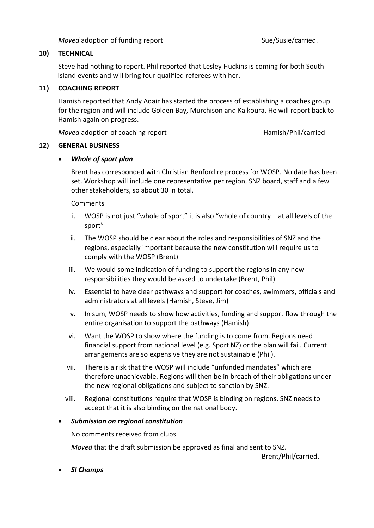*Moved* adoption of funding report Suel/Susie/Carried.

## **10) TECHNICAL**

Steve had nothing to report. Phil reported that Lesley Huckins is coming for both South Island events and will bring four qualified referees with her.

## **11) COACHING REPORT**

Hamish reported that Andy Adair has started the process of establishing a coaches group for the region and will include Golden Bay, Murchison and Kaikoura. He will report back to Hamish again on progress.

*Moved* adoption of coaching report **Hamish/Phil/carried** 

## **12) GENERAL BUSINESS**

## *Whole of sport plan*

Brent has corresponded with Christian Renford re process for WOSP. No date has been set. Workshop will include one representative per region, SNZ board, staff and a few other stakeholders, so about 30 in total.

#### **Comments**

- i. WOSP is not just "whole of sport" it is also "whole of country at all levels of the sport"
- ii. The WOSP should be clear about the roles and responsibilities of SNZ and the regions, especially important because the new constitution will require us to comply with the WOSP (Brent)
- iii. We would some indication of funding to support the regions in any new responsibilities they would be asked to undertake (Brent, Phil)
- iv. Essential to have clear pathways and support for coaches, swimmers, officials and administrators at all levels (Hamish, Steve, Jim)
- v. In sum, WOSP needs to show how activities, funding and support flow through the entire organisation to support the pathways (Hamish)
- vi. Want the WOSP to show where the funding is to come from. Regions need financial support from national level (e.g. Sport NZ) or the plan will fail. Current arrangements are so expensive they are not sustainable (Phil).
- vii. There is a risk that the WOSP will include "unfunded mandates" which are therefore unachievable. Regions will then be in breach of their obligations under the new regional obligations and subject to sanction by SNZ.
- viii. Regional constitutions require that WOSP is binding on regions. SNZ needs to accept that it is also binding on the national body.

#### *Submission on regional constitution*

No comments received from clubs.

*Moved* that the draft submission be approved as final and sent to SNZ.

Brent/Phil/carried.

*SI Champs*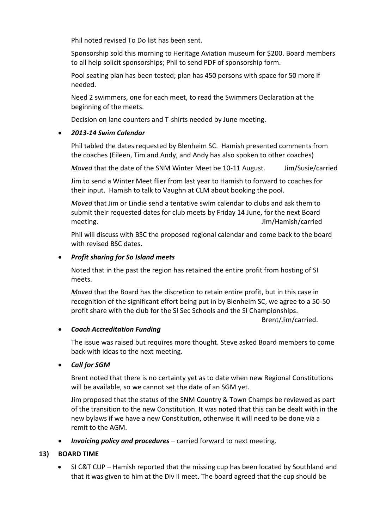Phil noted revised To Do list has been sent.

Sponsorship sold this morning to Heritage Aviation museum for \$200. Board members to all help solicit sponsorships; Phil to send PDF of sponsorship form.

Pool seating plan has been tested; plan has 450 persons with space for 50 more if needed.

Need 2 swimmers, one for each meet, to read the Swimmers Declaration at the beginning of the meets.

Decision on lane counters and T-shirts needed by June meeting.

## *2013-14 Swim Calendar*

Phil tabled the dates requested by Blenheim SC. Hamish presented comments from the coaches (Eileen, Tim and Andy, and Andy has also spoken to other coaches)

*Moved* that the date of the SNM Winter Meet be 10-11 August. Jim/Susie/carried

Jim to send a Winter Meet flier from last year to Hamish to forward to coaches for their input. Hamish to talk to Vaughn at CLM about booking the pool.

*Moved* that Jim or Lindie send a tentative swim calendar to clubs and ask them to submit their requested dates for club meets by Friday 14 June, for the next Board meeting. Jim/Hamish/carried

Phil will discuss with BSC the proposed regional calendar and come back to the board with revised BSC dates.

## *Profit sharing for So Island meets*

Noted that in the past the region has retained the entire profit from hosting of SI meets.

*Moved* that the Board has the discretion to retain entire profit, but in this case in recognition of the significant effort being put in by Blenheim SC, we agree to a 50-50 profit share with the club for the SI Sec Schools and the SI Championships.

Brent/Jim/carried.

## *Coach Accreditation Funding*

The issue was raised but requires more thought. Steve asked Board members to come back with ideas to the next meeting.

## *Call for SGM*

Brent noted that there is no certainty yet as to date when new Regional Constitutions will be available, so we cannot set the date of an SGM yet.

Jim proposed that the status of the SNM Country & Town Champs be reviewed as part of the transition to the new Constitution. It was noted that this can be dealt with in the new bylaws if we have a new Constitution, otherwise it will need to be done via a remit to the AGM.

*Invoicing policy and procedures* – carried forward to next meeting.

## **13) BOARD TIME**

 SI C&T CUP – Hamish reported that the missing cup has been located by Southland and that it was given to him at the Div II meet. The board agreed that the cup should be